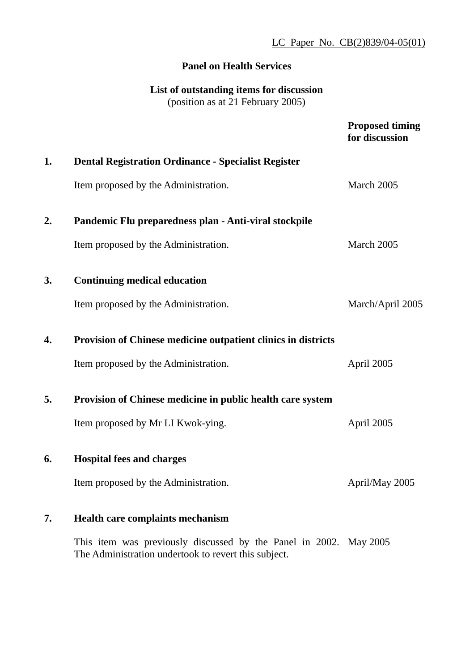### **Panel on Health Services**

## **List of outstanding items for discussion**  (position as at 21 February 2005)

|    |                                                                      | <b>Proposed timing</b><br>for discussion |
|----|----------------------------------------------------------------------|------------------------------------------|
| 1. | <b>Dental Registration Ordinance - Specialist Register</b>           |                                          |
|    | Item proposed by the Administration.                                 | March 2005                               |
| 2. | Pandemic Flu preparedness plan - Anti-viral stockpile                |                                          |
|    | Item proposed by the Administration.                                 | March 2005                               |
| 3. | <b>Continuing medical education</b>                                  |                                          |
|    | Item proposed by the Administration.                                 | March/April 2005                         |
| 4. | <b>Provision of Chinese medicine outpatient clinics in districts</b> |                                          |
|    | Item proposed by the Administration.                                 | April 2005                               |
| 5. | <b>Provision of Chinese medicine in public health care system</b>    |                                          |
|    | Item proposed by Mr LI Kwok-ying.                                    | April 2005                               |
| 6. | <b>Hospital fees and charges</b>                                     |                                          |
|    | Item proposed by the Administration.                                 | April/May 2005                           |
| 7. | Health care complaints mechanism                                     |                                          |
|    | This item was previously discussed by the Panel in 2002. May 2005    |                                          |

The Administration undertook to revert this subject.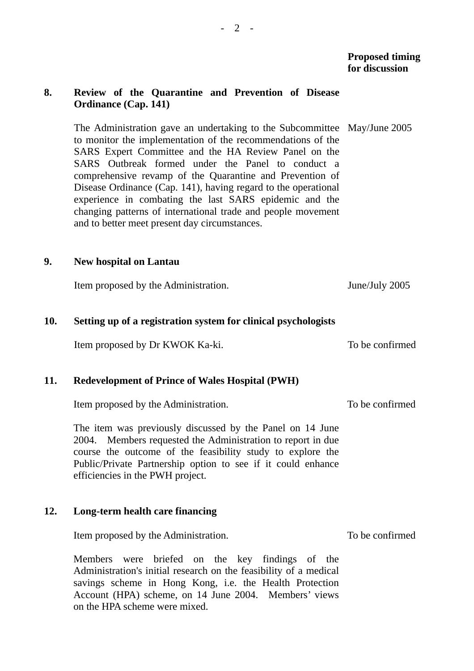To be confirmed

To be confirmed

To be confirmed

#### **8. Review of the Quarantine and Prevention of Disease Ordinance (Cap. 141)**

The Administration gave an undertaking to the Subcommittee May/June 2005 to monitor the implementation of the recommendations of the SARS Expert Committee and the HA Review Panel on the SARS Outbreak formed under the Panel to conduct a comprehensive revamp of the Quarantine and Prevention of Disease Ordinance (Cap. 141), having regard to the operational experience in combating the last SARS epidemic and the changing patterns of international trade and people movement and to better meet present day circumstances.

#### **9. New hospital on Lantau**

Item proposed by the Administration. June/July 2005

#### **10. Setting up of a registration system for clinical psychologists**

Item proposed by Dr KWOK Ka-ki.

#### **11. Redevelopment of Prince of Wales Hospital (PWH)**

Item proposed by the Administration.

The item was previously discussed by the Panel on 14 June 2004. Members requested the Administration to report in due course the outcome of the feasibility study to explore the Public/Private Partnership option to see if it could enhance efficiencies in the PWH project.

#### **12. Long-term health care financing**

Item proposed by the Administration.

Members were briefed on the key findings of the Administration's initial research on the feasibility of a medical savings scheme in Hong Kong, i.e. the Health Protection Account (HPA) scheme, on 14 June 2004. Members' views on the HPA scheme were mixed.

 $- 2 -$